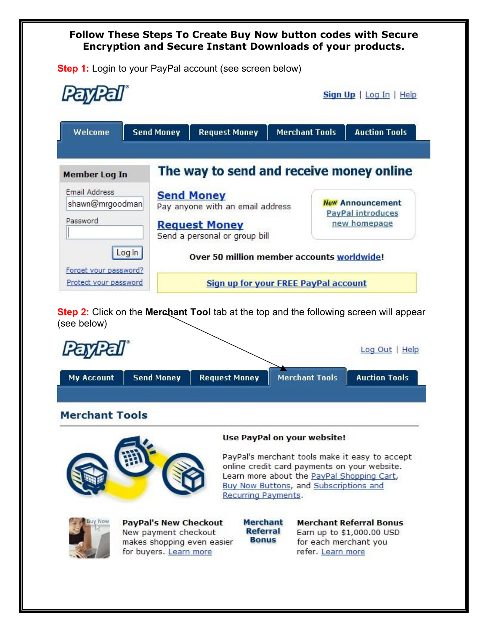## **Follow These Steps To Create Buy Now button codes with Secure Encryption and Secure Instant Downloads of your products.**

**Step 1:** Login to your PayPal account (see screen below)

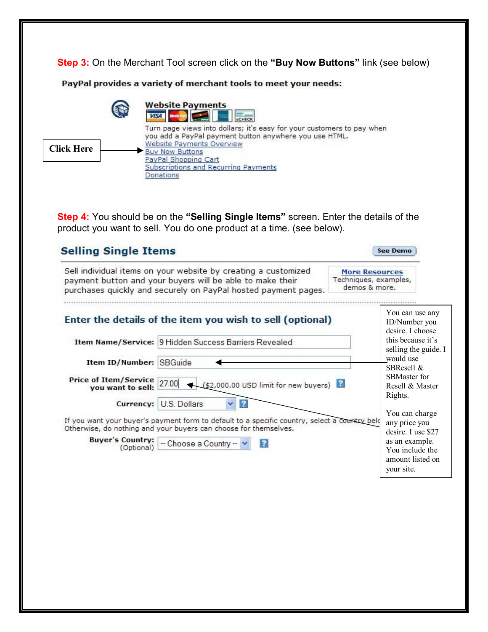**Step 3:** On the Merchant Tool screen click on the **"Buy Now Buttons"** link (see below)

PayPal provides a variety of merchant tools to meet your needs:



**Step 4:** You should be on the **"Selling Single Items"** screen. Enter the details of the product you want to sell. You do one product at a time. (see below).

|                                                  | Sell individual items on your website by creating a customized<br>payment button and your buyers will be able to make their<br>purchases quickly and securely on PayPal hosted payment pages. | <b>More Resources</b><br>Techniques, examples,<br>demos & more. |                                                                     |
|--------------------------------------------------|-----------------------------------------------------------------------------------------------------------------------------------------------------------------------------------------------|-----------------------------------------------------------------|---------------------------------------------------------------------|
|                                                  | Enter the details of the item you wish to sell (optional)                                                                                                                                     |                                                                 | You can use any<br>ID/Number you<br>desire. I choose                |
|                                                  | Item Name/Service: 9 Hidden Success Barriers Revealed                                                                                                                                         |                                                                 | this because it's<br>selling the guide. I                           |
| Item ID/Number: SBGuide                          |                                                                                                                                                                                               |                                                                 | would use<br>SBResell &                                             |
| Price of Item/Service 27.00<br>you want to sell: | $($ \$2,000.00 USD limit for new buyers)                                                                                                                                                      |                                                                 | <b>SBMaster for</b><br>Resell $\&$ Master<br>Rights.                |
| Currency:                                        | U.S. Dollars<br>$\overline{ }$                                                                                                                                                                |                                                                 |                                                                     |
|                                                  | If you want your buyer's payment form to default to a specific country, select a country belo<br>Otherwise, do nothing and your buyers can choose for themselves.                             |                                                                 | You can charge<br>any price you<br>desire. I use \$27               |
| <b>Buyer's Country:</b><br>(Optional)            | $\overline{2}$<br>-- Choose a Country -- V                                                                                                                                                    |                                                                 | as an example.<br>You include the<br>amount listed on<br>your site. |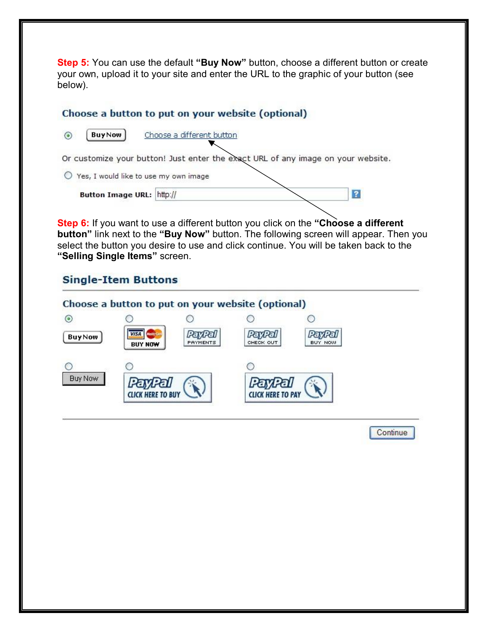**Step 5:** You can use the default "Buy Now" button, choose a different button or create your own, upload it to your site and enter the URL to the graphic of your button (see below).

## Choose a button to put on your website (optional)

**BuyNow** Choose a different button  $\odot$ Or customize your button! Just enter the exact URL of any image on your website. O Yes, I would like to use my own image  $\overline{2}$ Button Image URL: http://

**Step 6:** If you want to use a different button you click on the "Choose a different **button"** link next to the **"Buy Now"** button. The following screen will appear. Then you select the button you desire to use and click continue. You will be taken back to the **"Selling Single Items"** screen.

# **Single-Item Buttons**



**Continue**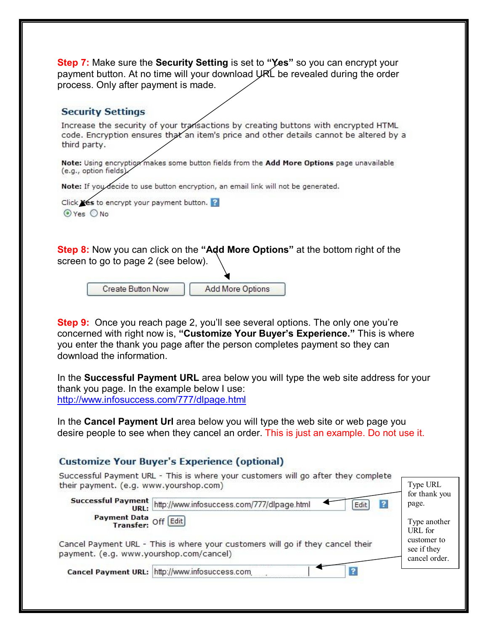**Step 7:** Make sure the **Security Setting** is set to **"Yes"** so you can encrypt your payment button. At no time will your download URL be revealed during the order process. Only after payment is made.

### **Security Settings**

Increase the security of your transactions by creating buttons with encrypted HTML code. Encryption ensures that an item's price and other details cannot be altered by a third party.

Note: Using encryption makes some button fields from the Add More Options page unavailable (e.g., option fields).

Note: If you decide to use button encryption, an email link will not be generated.

Click Yes to encrypt your payment button.  $\odot$  Yes  $\odot$  No

**Step 8:** Now you can click on the **"Add More Options"** at the bottom right of the screen to go to page 2 (see below).

> **Create Button Now Add More Options**

**Step 9:** Once you reach page 2, you'll see several options. The only one you're concerned with right now is, **"Customize Your Buyer's Experience."** This is where you enter the thank you page after the person completes payment so they can download the information.

In the **Successful Payment URL** area below you will type the web site address for your thank you page. In the example below I use: <http://www.infosuccess.com/777/dlpage.html>

In the **Cancel Payment Url** area below you will type the web site or web page you desire people to see when they cancel an order. This is just an example. Do not use it.

## **Customize Your Buyer's Experience (optional)**

| Successful Payment URL - This is where your customers will go after they complete<br>their payment. (e.g. www.yourshop.com)<br>Successful Payment http://www.infosuccess.com/777/dlpage.html<br>Edit | Type URL<br>for thank you<br>page. |
|------------------------------------------------------------------------------------------------------------------------------------------------------------------------------------------------------|------------------------------------|
| <b>Payment Data</b> Off Edit                                                                                                                                                                         | Type another<br>URL for            |
| Cancel Payment URL - This is where your customers will go if they cancel their<br>payment. (e.g. www.yourshop.com/cancel)                                                                            |                                    |
| Cancel Payment URL: http://www.infosuccess.com.                                                                                                                                                      |                                    |
|                                                                                                                                                                                                      |                                    |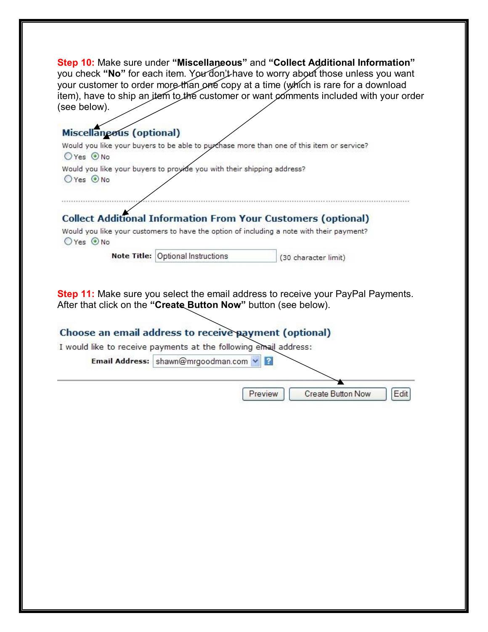| Step 10: Make sure under "Miscellaneous" and "Collect Additional Information"<br>you check "No" for each item. You don't have to worry about those unless you want<br>your customer to order more than one copy at a time (which is rare for a download<br>item), have to ship an item to the customer or want comments included with your order<br>(see below). |
|------------------------------------------------------------------------------------------------------------------------------------------------------------------------------------------------------------------------------------------------------------------------------------------------------------------------------------------------------------------|
| <b>Miscellaneous (optional)</b>                                                                                                                                                                                                                                                                                                                                  |
| Would you like your buyers to be able to purchase more than one of this item or service?                                                                                                                                                                                                                                                                         |
| $OYes$ $ONo$                                                                                                                                                                                                                                                                                                                                                     |
| Would you like your buyers to proyide you with their shipping address?<br>$OYes$ $O$ No                                                                                                                                                                                                                                                                          |
| <b>Collect Additional Information From Your Customers (optional)</b><br>Would you like your customers to have the option of including a note with their payment?<br>$OYes$ $O$ No                                                                                                                                                                                |
| Note Title: Optional Instructions<br>(30 character limit)                                                                                                                                                                                                                                                                                                        |
| <b>Step 11:</b> Make sure you select the email address to receive your PayPal Payments.<br>After that click on the "Create Button Now" button (see below).                                                                                                                                                                                                       |
| Choose an email address to receive payment (optional)                                                                                                                                                                                                                                                                                                            |
| I would like to receive payments at the following email address:                                                                                                                                                                                                                                                                                                 |
| Email Address: shawn@mrgoodman.com                                                                                                                                                                                                                                                                                                                               |
| <b>Create Button Now</b><br>Preview<br>Edit                                                                                                                                                                                                                                                                                                                      |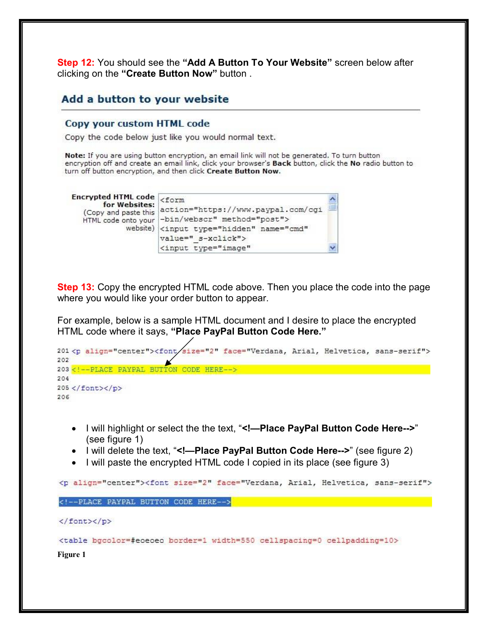**Step 12:** You should see the **"Add A Button To Your Website"** screen below after clicking on the **"Create Button Now"** button .

## Add a button to your website

#### Copy your custom HTML code

Copy the code below just like you would normal text.

Note: If you are using button encryption, an email link will not be generated. To turn button encryption off and create an email link, click your browser's Back button, click the No radio button to turn off button encryption, and then click Create Button Now.

| Encrypted HTML code <form<br>for Websites:<br/>(Copy and paste this<br/>HTML code onto your</form<br> | action="https://www.paypal.com/cgi<br>-bin/webscr" method="post"><br>website) <input <br="" name="cmd" type="hidden"/> value=" s-xclick"> | 3) |
|-------------------------------------------------------------------------------------------------------|-------------------------------------------------------------------------------------------------------------------------------------------|----|
|                                                                                                       | <input <="" td="" type="image"/> <td></td>                                                                                                |    |

**Step 13:** Copy the encrypted HTML code above. Then you place the code into the page where you would like your order button to appear.

For example, below is a sample HTML document and I desire to place the encrypted HTML code where it says, **"Place PayPal Button Code Here."**

```
201 <p align="center"><font/size="2" face="Verdana, Arial, Helvetica, sans-serif">
202
203<!--PLACE PAYPAL BUTTON CODE HERE-->
204
205</font></p>
206
207 <table bgcolor=#eoeoeo border=1 width=550 cellspacing=0 cellpadding=10>
```
- · I will highlight or select the the text, "**<!—Place PayPal Button Code Here-->**" (see figure 1)
- · I will delete the text, "**<!—Place PayPal Button Code Here-->**" (see figure 2)
- I will paste the encrypted HTML code I copied in its place (see figure 3)

<p align="center"><font size="2" face="Verdana, Arial, Helvetica, sans-serif">

<!--PLACE PAYPAL BUTTON CODE HERE-->

</font></p>

<table bgcolor=#eoeoeo border=1 width=550 cellspacing=0 cellpadding=10>

**Figure 1**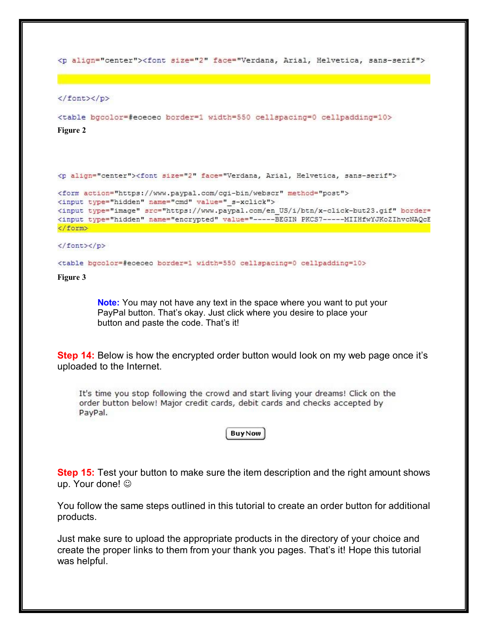<p align="center"><font size="2" face="Verdana, Arial, Helvetica, sans-serif">

</font></p>

```
<table bgcolor=#eoeoeo border=1 width=550 cellspacing=0 cellpadding=10>
Figure 2
```
<p align="center"><font size="2" face="Verdana, Arial, Helvetica, sans-serif">

```
<form action="https://www.paypal.com/cgi-bin/webscr" method="post">
<input type="hidden" name="cmd" value=" s-xclick">
<input type="image" src="https://www.paypal.com/en US/i/btn/x-click-but23.gif" border=
<input type="hidden" name="encrypted" value="-----BEGIN PKCS7------MIIHfwYJKoZIhvcNAQcE
</form>
```
</font></p>

<table bgcolor=#eoeoeo border=1 width=550 cellspacing=0 cellpadding=10>

**Figure 3**

**Note:** You may not have any text in the space where you want to put your PayPal button. That's okay. Just click where you desire to place your button and paste the code. That's it!

**Step 14:** Below is how the encrypted order button would look on my web page once it's uploaded to the Internet.

It's time you stop following the crowd and start living your dreams! Click on the order button below! Major credit cards, debit cards and checks accepted by PayPal.

**BuyNow** 

**Step 15:** Test your button to make sure the item description and the right amount shows up. Your done!  $\odot$ 

You follow the same steps outlined in this tutorial to create an order button for additional products.

Just make sure to upload the appropriate products in the directory of your choice and create the proper links to them from your thank you pages. That's it! Hope this tutorial was helpful.